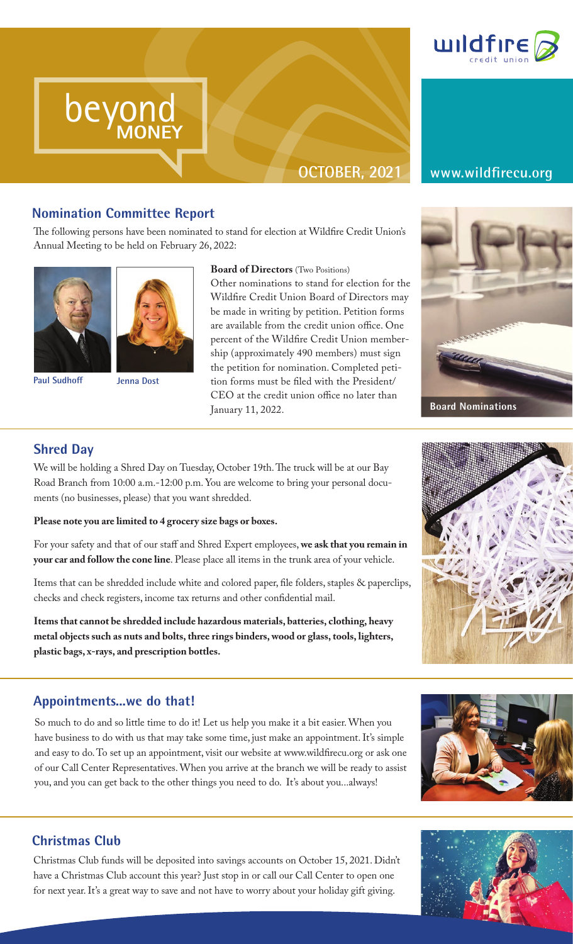

# **OCTOBER, 2021 www.wildfirecu.org**

beyond

**Nomination Committee Report**<br>The following persons have been nominated<br>Annual Meeting to be held on February 26. The following persons have been nominated to stand for election at Wildfire Credit Union's Annual Meeting to be held on February 26, 2022:

**MONEY**



beyond beyond

MONEY

beyond MONEY



**Board of Directors** (Two Positions)

Other nominations to stand for election for the Wildfire Credit Union Board of Directors may be made in writing by petition. Petition forms are available from the credit union office. One percent of the Wildfire Credit Union membership (approximately 490 members) must sign the petition for nomination. Completed petition forms must be filed with the President/ CEO at the credit union office no later than January 11, 2022.





We will be holding a Shred Day on Tuesday, October 19th. The truck will be at our Bay Road Branch from 10:00 a.m.-12:00 p.m. You are welcome to bring your personal documents (no businesses, please) that you want shredded.

### **Please note you are limited to 4 grocery size bags or boxes.**

For your safety and that of our staff and Shred Expert employees, **we ask that you remain in your car and follow the cone line**. Please place all items in the trunk area of your vehicle.

Items that can be shredded include white and colored paper, file folders, staples & paperclips, checks and check registers, income tax returns and other confidential mail.

**Items that cannot be shredded include hazardous materials, batteries, clothing, heavy metal objects such as nuts and bolts, three rings binders, wood or glass, tools, lighters, plastic bags, x-rays, and prescription bottles.**

# **Appointments...we do that!**

So much to do and so little time to do it! Let us help you make it a bit easier. When you have business to do with us that may take some time, just make an appointment. It's simple and easy to do. To set up an appointment, visit our website at www.wildfirecu.org or ask one of our Call Center Representatives. When you arrive at the branch we will be ready to assist you, and you can get back to the other things you need to do. It's about you...always!



# **Christmas Club**

Christmas Club funds will be deposited into savings accounts on October 15, 2021. Didn't have a Christmas Club account this year? Just stop in or call our Call Center to open one for next year. It's a great way to save and not have to worry about your holiday gift giving.



**Board Nominations**